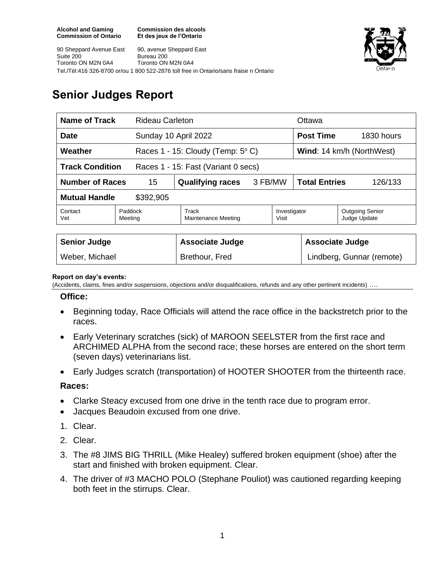**Commission des alcools Et des jeux de l'Ontario**

90 Sheppard Avenue East Suite 200 Toronto ON M2N 0A4 90, avenue Sheppard East Bureau 200 Toronto ON M2N 0A4 Tel./Tél:416 326-8700 or/ou 1 800 522-2876 toll free in Ontario/sans fraise n Ontario



# **Senior Judges Report**

| <b>Name of Track</b>                                          |                    | <b>Rideau Carleton</b>                     |         |                           | Ottawa                          |                                        |
|---------------------------------------------------------------|--------------------|--------------------------------------------|---------|---------------------------|---------------------------------|----------------------------------------|
| <b>Date</b>                                                   |                    | Sunday 10 April 2022                       |         |                           | <b>Post Time</b>                | 1830 hours                             |
| Weather                                                       |                    | Races 1 - 15: Cloudy (Temp: $5^{\circ}$ C) |         | Wind: 14 km/h (NorthWest) |                                 |                                        |
| <b>Track Condition</b><br>Races 1 - 15: Fast (Variant 0 secs) |                    |                                            |         |                           |                                 |                                        |
| <b>Number of Races</b>                                        | 15                 | <b>Qualifying races</b>                    | 3 FB/MW |                           | <b>Total Entries</b><br>126/133 |                                        |
| <b>Mutual Handle</b><br>\$392,905                             |                    |                                            |         |                           |                                 |                                        |
| Contact<br>Vet                                                | Paddock<br>Meeting | Track<br>Maintenance Meeting               |         | Investigator<br>Visit     |                                 | <b>Outgoing Senior</b><br>Judge Update |
|                                                               |                    |                                            |         |                           |                                 |                                        |
| <b>Senior Judge</b>                                           |                    | <b>Associate Judge</b>                     |         |                           | <b>Associate Judge</b>          |                                        |
| Weber, Michael                                                |                    | Brethour, Fred                             |         | Lindberg, Gunnar (remote) |                                 |                                        |

#### **Report on day's events:**

(Accidents, claims, fines and/or suspensions, objections and/or disqualifications, refunds and any other pertinent incidents) ….

## **Office:**

- Beginning today, Race Officials will attend the race office in the backstretch prior to the races.
- Early Veterinary scratches (sick) of MAROON SEELSTER from the first race and ARCHIMED ALPHA from the second race; these horses are entered on the short term (seven days) veterinarians list.
- Early Judges scratch (transportation) of HOOTER SHOOTER from the thirteenth race.

### **Races:**

- Clarke Steacy excused from one drive in the tenth race due to program error.
- Jacques Beaudoin excused from one drive.
- 1. Clear.
- 2. Clear.
- 3. The #8 JIMS BIG THRILL (Mike Healey) suffered broken equipment (shoe) after the start and finished with broken equipment. Clear.
- 4. The driver of #3 MACHO POLO (Stephane Pouliot) was cautioned regarding keeping both feet in the stirrups. Clear.